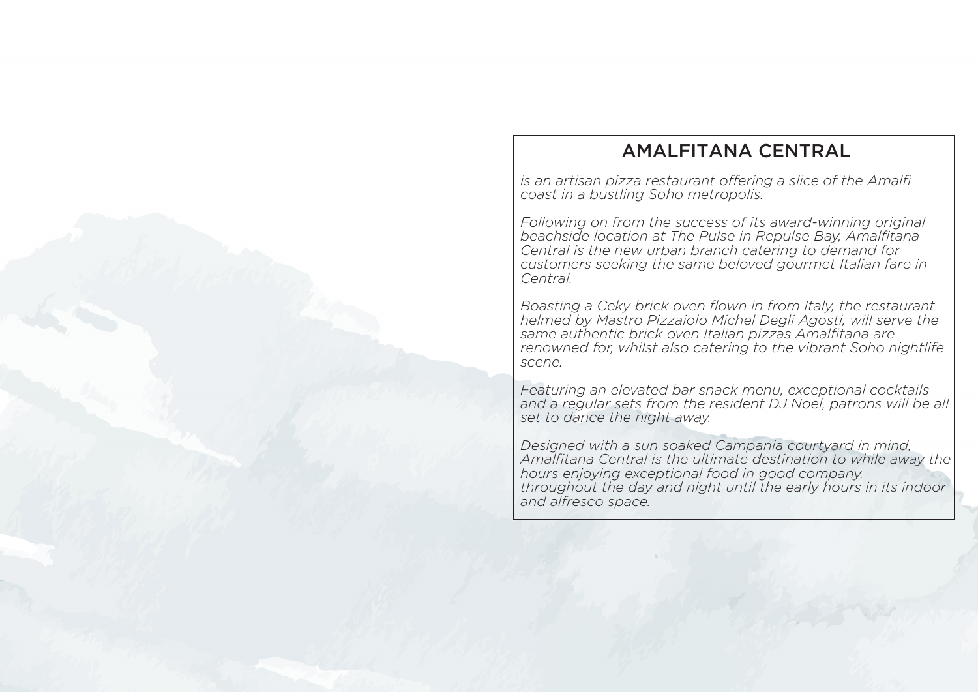# AMALFITANA CENTRAL

*is an artisan pizza restaurant offering a slice of the Amalfi coast in a bustling Soho metropolis.*

*Following on from the success of its award-winning original beachside location at The Pulse in Repulse Bay, Amalfitana Central is the new urban branch catering to demand for customers seeking the same beloved gourmet Italian fare in Central.* 

*Boasting a Ceky brick oven flown in from Italy, the restaurant helmed by Mastro Pizzaiolo Michel Degli Agosti, will serve the same authentic brick oven Italian pizzas Amalfitana are renowned for, whilst also catering to the vibrant Soho nightlife scene.* 

*Featuring an elevated bar snack menu, exceptional cocktails*  and a regular sets from the resident DJ Noel, patrons will be all *set to dance the night away.* 

*Designed with a sun soaked Campania courtyard in mind, Amalfitana Central is the ultimate destination to while away the hours enjoying exceptional food in good company, throughout the day and night until the early hours in its indoor and alfresco space.*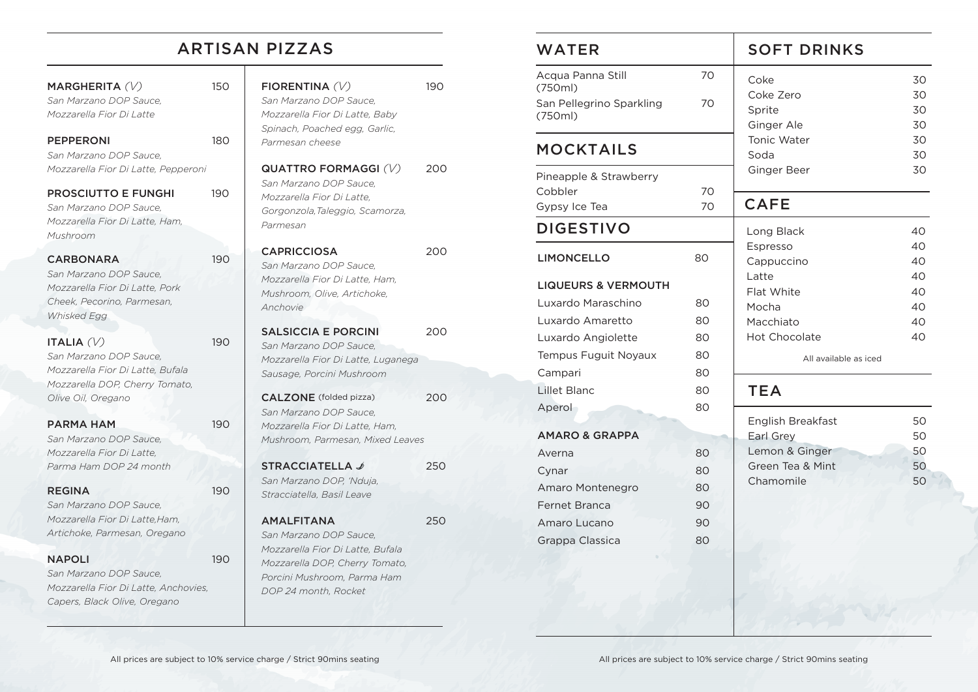## ARTISAN PIZZAS

### MARGHERITA *(V)* 150 *San Marzano DOP Sauce, Mozzarella Fior Di Latte*

#### PEPPERONI 180

*San Marzano DOP Sauce, Mozzarella Fior Di Latte, Pepperoni*

### PROSCIUTTO E FUNGHI 190

*San Marzano DOP Sauce, Mozzarella Fior Di Latte, Ham, Mushroom*

### CARBONARA 190

*San Marzano DOP Sauce, Mozzarella Fior Di Latte, Pork Cheek, Pecorino, Parmesan, Whisked Egg*

### ITALIA *(V)* 190

*San Marzano DOP Sauce, Mozzarella Fior Di Latte, Bufala Mozzarella DOP, Cherry Tomato, Olive Oil, Oregano*

### PARMA HAM 190

*San Marzano DOP Sauce, Mozzarella Fior Di Latte, Parma Ham DOP 24 month*

### REGINA 190

*San Marzano DOP Sauce, Mozzarella Fior Di Latte,Ham, Artichoke, Parmesan, Oregano*

### NAPOLI 190

*San Marzano DOP Sauce, Mozzarella Fior Di Latte, Anchovies, Capers, Black Olive, Oregano*

| FIORENTINA(V)                      | 190 |
|------------------------------------|-----|
| San Marzano DOP Sauce,             |     |
| Mozzarella Fior Di Latte, Baby     |     |
| Spinach, Poached egg, Garlic,      |     |
| Parmesan cheese                    |     |
| QUATTRO FORMAGGI (V)               | 200 |
| San Marzano DOP Sauce,             |     |
| Mozzarella Fior Di Latte,          |     |
| Gorgonzola, Taleggio, Scamorza,    |     |
| Parmesan                           |     |
| <b>CAPRICCIOSA</b>                 | 200 |
| San Marzano DOP Sauce,             |     |
| Mozzarella Fior Di Latte, Ham,     |     |
| Mushroom, Olive, Artichoke,        |     |
| Anchovie                           |     |
|                                    |     |
| <b>SALSICCIA E PORCINI</b>         | 200 |
| San Marzano DOP Sauce,             |     |
| Mozzarella Fior Di Latte, Luganega |     |
| Sausage, Porcini Mushroom          |     |
| <b>CALZONE</b> (folded pizza)      | 200 |
| San Marzano DOP Sauce,             |     |
| Mozzarella Fior Di Latte, Ham,     |     |
| Mushroom, Parmesan, Mixed Leaves   |     |
|                                    |     |
| <b>STRACCIATELLA</b> ৶             | 250 |
| San Marzano DOP, 'Nduja,           |     |
| Stracciatella, Basil Leave         |     |
| <b>AMALFITANA</b>                  | 250 |
| San Marzano DOP Sauce.             |     |
| Mozzarella Fior Di Latte, Bufala   |     |

*Mozzarella DOP, Cherry Tomato, Porcini Mushroom, Parma Ham DOP 24 month, Rocket*

| <b>WATER</b>                        |    | <b>SOFT DRINKS</b>             |          |
|-------------------------------------|----|--------------------------------|----------|
| Acqua Panna Still                   | 70 | Coke                           | 30       |
| (750ml)<br>San Pellegrino Sparkling | 70 | Coke Zero                      | 30       |
| (750ml)                             |    | Sprite                         | 30       |
|                                     |    | Ginger Ale<br>Tonic Water      | 30<br>30 |
| <b>MOCKTAILS</b>                    |    | Soda                           | 30       |
| Pineapple & Strawberry              |    | Ginger Beer                    | 30       |
| Cobbler                             | 70 |                                |          |
| Gypsy Ice Tea                       | 70 | <b>CAFE</b>                    |          |
| <b>DIGESTIVO</b>                    |    | Long Black                     | 40       |
| <b>LIMONCELLO</b>                   | 80 | Espresso                       | 40       |
|                                     |    | Cappuccino                     | 40       |
| <b>LIQUEURS &amp; VERMOUTH</b>      |    | Latte<br>Flat White            | 40<br>40 |
| Luxardo Maraschino                  | 80 | Mocha                          | 40       |
| Luxardo Amaretto                    | 80 | Macchiato                      | 40       |
| Luxardo Angiolette                  | 80 | <b>Hot Chocolate</b>           | 40       |
| Tempus Fuguit Noyaux                | 80 | All available as iced          |          |
| Campari                             | 80 |                                |          |
| Lillet Blanc                        | 80 | <b>TEA</b>                     |          |
| Aperol                              | 80 |                                |          |
| <b>AMARO &amp; GRAPPA</b>           |    | English Breakfast<br>Earl Grey | 50<br>50 |
| Averna                              | 80 | Lemon & Ginger                 | 50       |
| Cynar                               | 80 | Green Tea & Mint               | 50       |
| Amaro Montenegro                    | 80 | Chamomile                      | 50       |
| Fernet Branca                       | 90 |                                |          |
| Amaro Lucano                        | 90 |                                |          |
| Grappa Classica                     | 80 |                                |          |
|                                     |    |                                |          |
|                                     |    |                                |          |
|                                     |    |                                |          |
|                                     |    |                                |          |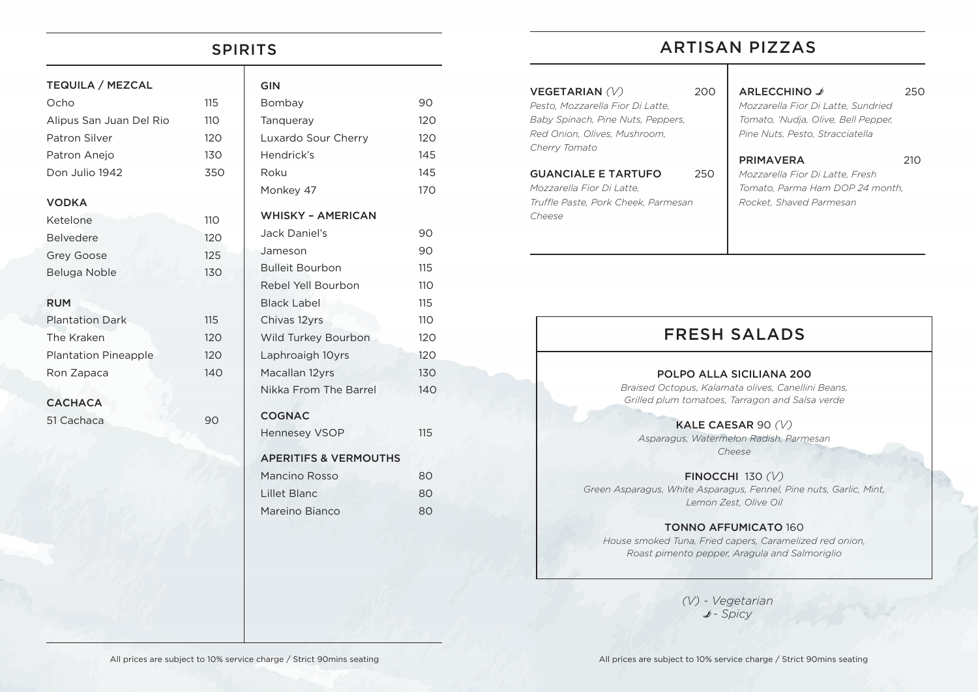## SPIRITS

| <b>TEQUILA / MEZCAL</b>     |     | <b>GIN</b>                       |     |
|-----------------------------|-----|----------------------------------|-----|
| Ocho                        | 115 | Bombay                           | 90  |
| Alipus San Juan Del Rio     | 110 | Tanqueray                        | 120 |
| Patron Silver               | 120 | Luxardo Sour Cherry              | 120 |
| Patron Anejo                | 130 | Hendrick's                       | 145 |
| Don Julio 1942              | 350 | Roku                             | 145 |
| <b>VODKA</b>                |     | Monkey 47                        | 170 |
| Ketelone                    | 110 | <b>WHISKY - AMERICAN</b>         |     |
| <b>Belvedere</b>            | 120 | Jack Daniel's                    | 90  |
| Grey Goose                  | 125 | Jameson                          | 90  |
| Beluga Noble                | 130 | <b>Bulleit Bourbon</b>           | 115 |
|                             |     | Rebel Yell Bourbon               | 110 |
| <b>RUM</b>                  |     | <b>Black Label</b>               | 115 |
| <b>Plantation Dark</b>      | 115 | Chivas 12yrs                     | 110 |
| The Kraken                  | 120 | Wild Turkey Bourbon              | 120 |
| <b>Plantation Pineapple</b> | 120 | Laphroaigh 10yrs                 | 120 |
| Ron Zapaca                  | 140 | Macallan 12yrs                   | 130 |
|                             |     | Nikka From The Barrel            | 140 |
| <b>CACHACA</b>              |     |                                  |     |
| 51 Cachaca                  | 90  | <b>COGNAC</b>                    |     |
|                             |     | <b>Hennesey VSOP</b>             | 115 |
|                             |     | <b>APERITIFS &amp; VERMOUTHS</b> |     |
|                             |     | Mancino Rosso                    | 80  |
|                             |     | Lillet Blanc                     | 80  |

Mareino Bianco 80

# ARTISAN PIZZAS

| 200                                 | ARLECCHINO ♪<br>Mozzarella Fior Di Latte, Sundried<br>Tomato, 'Nudja, Olive, Bell Pepper,<br>Pine Nuts, Pesto, Stracciatella | 250                             |
|-------------------------------------|------------------------------------------------------------------------------------------------------------------------------|---------------------------------|
| 250                                 | <b>PRIMAVERA</b><br>Mozzarella Fior Di Latte, Fresh                                                                          | 21O                             |
| Truffle Paste, Pork Cheek, Parmesan | Rocket, Shaved Parmesan                                                                                                      |                                 |
|                                     |                                                                                                                              | Tomato. Parma Ham DOP 24 month. |

# FRESH SALADS

#### POLPO ALLA SICILIANA 200

*Braised Octopus, Kalamata olives, Canellini Beans, Grilled plum tomatoes, Tarragon and Salsa verde*

#### KALE CAESAR 90 *(V)*

*Asparagus, Watermelon Radish, Parmesan Cheese*

FINOCCHI 130 *(V)*

*Green Asparagus, White Asparagus, Fennel, Pine nuts, Garlic, Mint, Lemon Zest, Olive Oil*

### TONNO AFFUMICATO 160

*House smoked Tuna, Fried capers, Caramelized red onion, Roast pimento pepper, Aragula and Salmoriglio*

> *(V) - Vegetarian* B*- Spicy*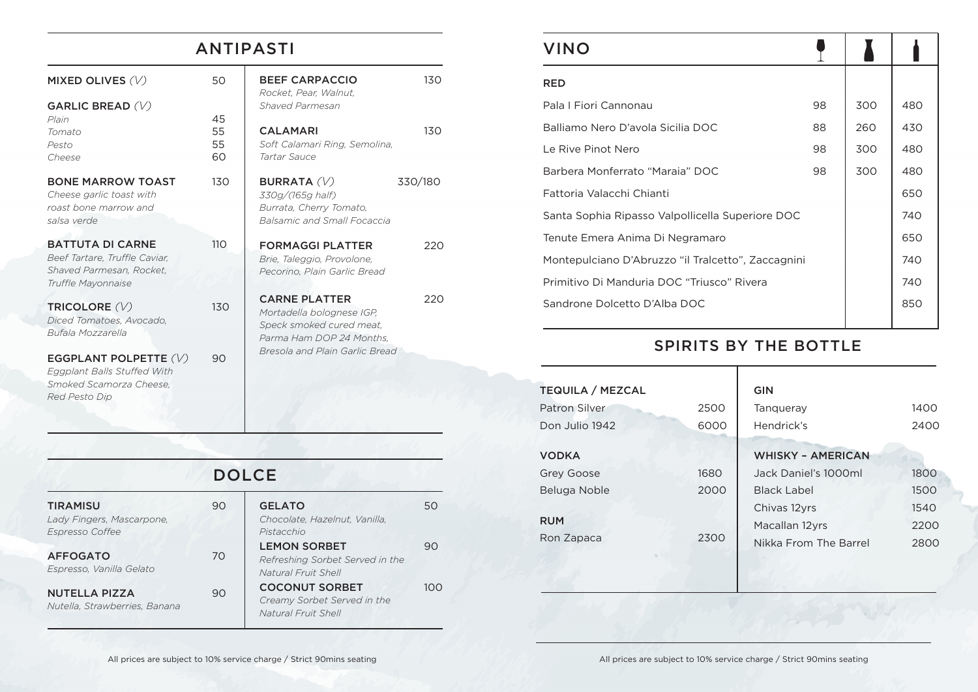# ANTIPASTI

130

130

220

220

BURRATA *(V)* 330/180

| MIXED OLIVES $(V)$                                                                                         | 50                   | <b>BEEF CARPACCIO</b><br>Rocket, Pear, Walnut,                                                            |
|------------------------------------------------------------------------------------------------------------|----------------------|-----------------------------------------------------------------------------------------------------------|
| GARLIC BREAD $(V)$<br>Plain<br>Tomato<br>Pesto<br>Cheese                                                   | 45<br>55<br>55<br>60 | Shaved Parmesan<br><b>CALAMARI</b><br>Soft Calamari Ring, Semolina,<br>Tartar Sauce                       |
| <b>BONE MARROW TOAST</b><br>Cheese garlic toast with<br>roast bone marrow and<br>salsa verde               | 130                  | <b>BURRATA</b> (V)<br>330g/(165g half)<br>Burrata, Cherry Tomato,<br><b>Balsamic and Small Focaccia</b>   |
| <b>BATTUTA DI CARNE</b><br>Beef Tartare, Truffle Caviar,<br>Shaved Parmesan, Rocket,<br>Truffle Mayonnaise | 110                  | <b>FORMAGGI PLATTER</b><br>Brie, Taleggio, Provolone,<br>Pecorino, Plain Garlic Bread                     |
| TRICOLORE (V)<br>Diced Tomatoes, Avocado,<br><i>Bufala Mozzarella</i>                                      | 130                  | <b>CARNE PLATTER</b><br>Mortadella bolognese IGP,<br>Speck smoked cured meat,<br>Parma Ham DOP 24 Months. |
| EGGPLANT POLPETTE $(V)$                                                                                    | 90                   | Bresola and Plain Garlic Bread                                                                            |

*Eggplant Balls Stuffed With Smoked Scamorza Cheese,* 

*Red Pesto Dip*

| <b>DOLCE</b>                                                           |    |                                                                               |     |
|------------------------------------------------------------------------|----|-------------------------------------------------------------------------------|-----|
| <b>TIRAMISU</b><br>Lady Fingers, Mascarpone.<br><b>Espresso Coffee</b> | 90 | <b>GELATO</b><br>Chocolate, Hazelnut, Vanilla.<br>Pistacchio                  | 50  |
| <b>AFFOGATO</b><br>Espresso, Vanilla Gelato                            | 70 | <b>LEMON SORBET</b><br>Refreshing Sorbet Served in the<br>Natural Fruit Shell | 90  |
| <b>NUTELLA PIZZA</b><br>Nutella, Strawberries, Banana                  | 90 | <b>COCONUT SORBET</b><br>Creamy Sorbet Served in the<br>Natural Fruit Shell   | 100 |

| <b>VINO</b>                                        |    |     |     |
|----------------------------------------------------|----|-----|-----|
| <b>RED</b>                                         |    |     |     |
| Pala I Fiori Cannonau                              | 98 | 300 | 480 |
| Balliamo Nero D'avola Sicilia DOC                  | 88 | 260 | 430 |
| Le Rive Pinot Nero                                 | 98 | 300 | 480 |
| Barbera Monferrato "Maraia" DOC                    | 98 | 300 | 480 |
| Fattoria Valacchi Chianti                          |    |     | 650 |
| Santa Sophia Ripasso Valpollicella Superiore DOC   |    |     | 740 |
| Tenute Emera Anima Di Negramaro                    |    |     | 650 |
| Montepulciano D'Abruzzo "il Tralcetto", Zaccagnini |    |     | 740 |
| Primitivo Di Manduria DOC "Triusco" Rivera         |    |     | 740 |
| Sandrone Dolcetto D'Alba DOC                       |    |     | 850 |
|                                                    |    |     |     |

# SPIRITS BY THE BOTTLE

| <b>TEQUILA / MEZCAL</b> |      | <b>GIN</b>               |      |
|-------------------------|------|--------------------------|------|
| Patron Silver           | 2500 | Tangueray                | 1400 |
| Don Julio 1942          | 6000 | Hendrick's               | 2400 |
| <b>VODKA</b>            |      | <b>WHISKY - AMERICAN</b> |      |
| Grey Goose              | 1680 | Jack Daniel's 1000ml     | 1800 |
| Beluga Noble            | 2000 | <b>Black Label</b>       | 1500 |
|                         |      | Chivas 12yrs             | 1540 |
| <b>RUM</b>              |      | Macallan 12yrs           | 2200 |
| Ron Zapaca              | 2300 | Nikka From The Barrel    | 2800 |
|                         |      |                          |      |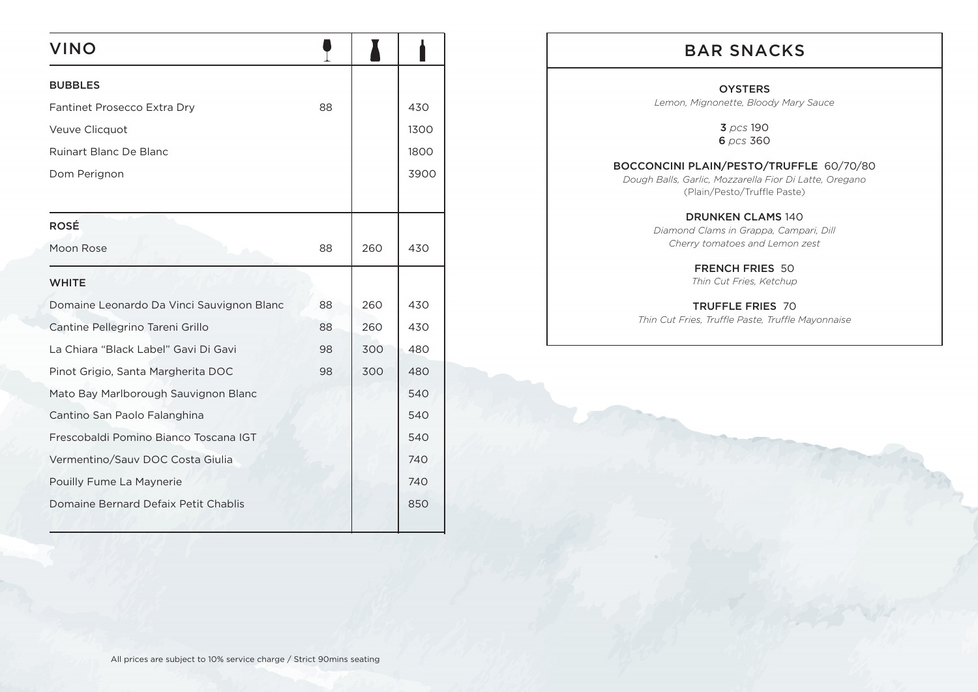| <b>VINO</b>                               |    |     |      |
|-------------------------------------------|----|-----|------|
| <b>BUBBLES</b>                            |    |     |      |
| Fantinet Prosecco Extra Dry               | 88 |     | 430  |
| Veuve Clicquot                            |    |     | 1300 |
| Ruinart Blanc De Blanc                    |    |     | 1800 |
| Dom Perignon                              |    |     | 3900 |
|                                           |    |     |      |
| <b>ROSÉ</b>                               |    |     |      |
| Moon Rose                                 | 88 | 260 | 430  |
| <b>WHITE</b>                              |    |     |      |
| Domaine Leonardo Da Vinci Sauvignon Blanc | 88 | 260 | 430  |
| Cantine Pellegrino Tareni Grillo          | 88 | 260 | 430  |
| La Chiara "Black Label" Gavi Di Gavi      | 98 | 300 | 480  |
| Pinot Grigio, Santa Margherita DOC        | 98 | 300 | 480  |
| Mato Bay Marlborough Sauvignon Blanc      |    |     | 540  |
| Cantino San Paolo Falanghina              |    |     | 540  |
| Frescobaldi Pomino Bianco Toscana IGT     |    |     | 540  |
| Vermentino/Sauv DOC Costa Giulia          |    |     | 740  |
| Pouilly Fume La Maynerie                  |    |     | 740  |
| Domaine Bernard Defaix Petit Chablis      |    |     | 850  |
|                                           |    |     |      |

# BAR SNACKS

#### **OYSTERS**

*Lemon, Mignonette, Bloody Mary Sauce*

3 *pcs* 190 6 *pcs* 360

### BOCCONCINI PLAIN/PESTO/TRUFFLE 60/70/80

*Dough Balls, Garlic, Mozzarella Fior Di Latte, Oregano*  (Plain/Pesto/Truffle Paste)

> DRUNKEN CLAMS 140 *Diamond Clams in Grappa, Campari, Dill Cherry tomatoes and Lemon zest*

> > FRENCH FRIES 50 *Thin Cut Fries, Ketchup*

TRUFFLE FRIES 70

*Thin Cut Fries, Truffle Paste, Truffle Mayonnaise*